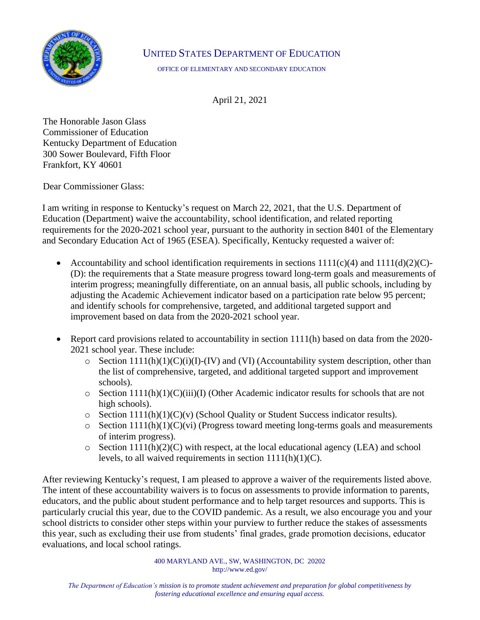

## UNITED STATES DEPARTMENT OF EDUCATION

OFFICE OF ELEMENTARY AND SECONDARY EDUCATION

April 21, 2021

The Honorable Jason Glass Commissioner of Education Kentucky Department of Education 300 Sower Boulevard, Fifth Floor Frankfort, KY 40601

Dear Commissioner Glass:

I am writing in response to Kentucky's request on March 22, 2021, that the U.S. Department of Education (Department) waive the accountability, school identification, and related reporting requirements for the 2020-2021 school year, pursuant to the authority in section 8401 of the Elementary and Secondary Education Act of 1965 (ESEA). Specifically, Kentucky requested a waiver of:

- Accountability and school identification requirements in sections  $1111(c)(4)$  and  $111(d)(2)(C)$ -(D): the requirements that a State measure progress toward long-term goals and measurements of interim progress; meaningfully differentiate, on an annual basis, all public schools, including by adjusting the Academic Achievement indicator based on a participation rate below 95 percent; and identify schools for comprehensive, targeted, and additional targeted support and improvement based on data from the 2020-2021 school year.
- Report card provisions related to accountability in section 1111(h) based on data from the 2020-2021 school year. These include:
	- $\circ$  Section 1111(h)(1)(C)(i)(I)-(IV) and (VI) (Accountability system description, other than the list of comprehensive, targeted, and additional targeted support and improvement schools).
	- $\circ$  Section 1111(h)(1)(C)(iii)(I) (Other Academic indicator results for schools that are not high schools).
	- $\circ$  Section 1111(h)(1)(C)(v) (School Quality or Student Success indicator results).
	- $\circ$  Section 1111(h)(1)(C)(vi) (Progress toward meeting long-terms goals and measurements of interim progress).
	- $\circ$  Section 1111(h)(2)(C) with respect, at the local educational agency (LEA) and school levels, to all waived requirements in section  $1111(h)(1)(C)$ .

After reviewing Kentucky's request, I am pleased to approve a waiver of the requirements listed above. The intent of these accountability waivers is to focus on assessments to provide information to parents, educators, and the public about student performance and to help target resources and supports. This is particularly crucial this year, due to the COVID pandemic. As a result, we also encourage you and your school districts to consider other steps within your purview to further reduce the stakes of assessments this year, such as excluding their use from students' final grades, grade promotion decisions, educator evaluations, and local school ratings.

> 400 MARYLAND AVE., SW, WASHINGTON, DC 20202 http://www.ed.gov/